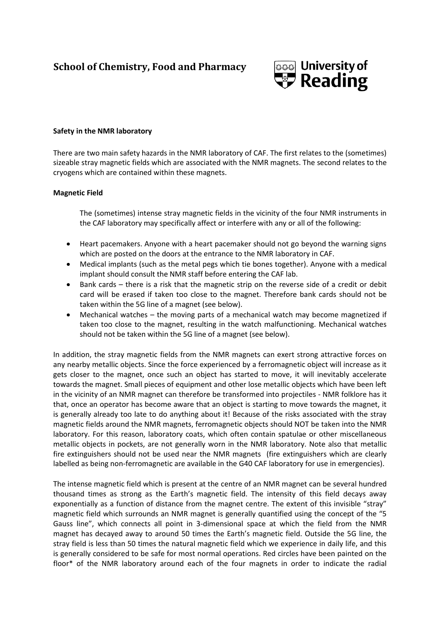## **School of Chemistry, Food and Pharmacy**



## **Safety in the NMR laboratory**

There are two main safety hazards in the NMR laboratory of CAF. The first relates to the (sometimes) sizeable stray magnetic fields which are associated with the NMR magnets. The second relates to the cryogens which are contained within these magnets.

## **Magnetic Field**

The (sometimes) intense stray magnetic fields in the vicinity of the four NMR instruments in the CAF laboratory may specifically affect or interfere with any or all of the following:

- Heart pacemakers. Anyone with a heart pacemaker should not go beyond the warning signs  $\bullet$ which are posted on the doors at the entrance to the NMR laboratory in CAF.
- Medical implants (such as the metal pegs which tie bones together). Anyone with a medical  $\bullet$ implant should consult the NMR staff before entering the CAF lab.
- Bank cards there is a risk that the magnetic strip on the reverse side of a credit or debit  $\bullet$ card will be erased if taken too close to the magnet. Therefore bank cards should not be taken within the 5G line of a magnet (see below).
- Mechanical watches the moving parts of a mechanical watch may become magnetized if taken too close to the magnet, resulting in the watch malfunctioning. Mechanical watches should not be taken within the 5G line of a magnet (see below).

In addition, the stray magnetic fields from the NMR magnets can exert strong attractive forces on any nearby metallic objects. Since the force experienced by a ferromagnetic object will increase as it gets closer to the magnet, once such an object has started to move, it will inevitably accelerate towards the magnet. Small pieces of equipment and other lose metallic objects which have been left in the vicinity of an NMR magnet can therefore be transformed into projectiles - NMR folklore has it that, once an operator has become aware that an object is starting to move towards the magnet, it is generally already too late to do anything about it! Because of the risks associated with the stray magnetic fields around the NMR magnets, ferromagnetic objects should NOT be taken into the NMR laboratory. For this reason, laboratory coats, which often contain spatulae or other miscellaneous metallic objects in pockets, are not generally worn in the NMR laboratory. Note also that metallic fire extinguishers should not be used near the NMR magnets (fire extinguishers which are clearly labelled as being non-ferromagnetic are available in the G40 CAF laboratory for use in emergencies).

The intense magnetic field which is present at the centre of an NMR magnet can be several hundred thousand times as strong as the Earth's magnetic field. The intensity of this field decays away exponentially as a function of distance from the magnet centre. The extent of this invisible "stray" magnetic field which surrounds an NMR magnet is generally quantified using the concept of the "5 Gauss line", which connects all point in 3-dimensional space at which the field from the NMR magnet has decayed away to around 50 times the Earth's magnetic field. Outside the 5G line, the stray field is less than 50 times the natural magnetic field which we experience in daily life, and this is generally considered to be safe for most normal operations. Red circles have been painted on the floor\* of the NMR laboratory around each of the four magnets in order to indicate the radial